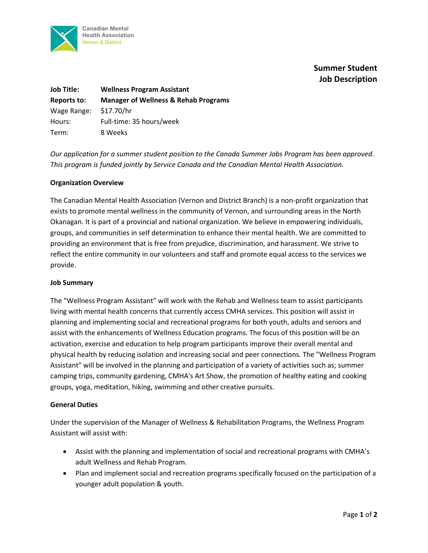

# **Summer Student Job Description**

| <b>Job Title:</b> | <b>Wellness Program Assistant</b>               |
|-------------------|-------------------------------------------------|
| Reports to:       | <b>Manager of Wellness &amp; Rehab Programs</b> |
| Wage Range:       | \$17.70/hr                                      |
| Hours:            | Full-time: 35 hours/week                        |
| Term:             | 8 Weeks                                         |

*Our application for a summer student position to the Canada Summer Jobs Program has been approved. This program is funded jointly by Service Canada and the Canadian Mental Health Association.*

## **Organization Overview**

The Canadian Mental Health Association (Vernon and District Branch) is a non-profit organization that exists to promote mental wellness in the community of Vernon, and surrounding areas in the North Okanagan. It is part of a provincial and national organization. We believe in empowering individuals, groups, and communities in self determination to enhance their mental health. We are committed to providing an environment that is free from prejudice, discrimination, and harassment. We strive to reflect the entire community in our volunteers and staff and promote equal access to the services we provide.

#### **Job Summary**

The "Wellness Program Assistant" will work with the Rehab and Wellness team to assist participants living with mental health concerns that currently access CMHA services. This position will assist in planning and implementing social and recreational programs for both youth, adults and seniors and assist with the enhancements of Wellness Education programs. The focus of this position will be on activation, exercise and education to help program participants improve their overall mental and physical health by reducing isolation and increasing social and peer connections. The "Wellness Program Assistant" will be involved in the planning and participation of a variety of activities such as; summer camping trips, community gardening, CMHA's Art Show, the promotion of healthy eating and cooking groups, yoga, meditation, hiking, swimming and other creative pursuits.

#### **General Duties**

Under the supervision of the Manager of Wellness & Rehabilitation Programs, the Wellness Program Assistant will assist with:

- Assist with the planning and implementation of social and recreational programs with CMHA's adult Wellness and Rehab Program.
- Plan and implement social and recreation programs specifically focused on the participation of a younger adult population & youth.